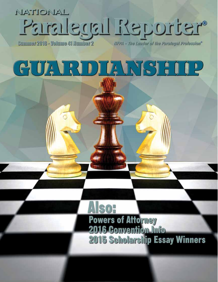## NATIONAL "Tetus Lett Lapelens'

Summer 2015 - Volume 41 Number 2

IIFPA - The Leader of the Paralegal Profession®

# GUARDIANSHI

**Powers of Attorney** 2016 Convention Info **2015 Scholarship Essay Winners**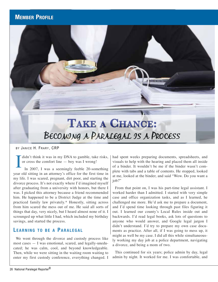### **Member Profile**

## **Take a Chance:**  Becoming a Paralegal is a Process

BY JANICE H. FRARY, CRP

didn't think it was in my DNA to gamble, take risks, or cross the comfort line — boy was I wrong!

I In 2007, I was a seemingly feeble 20-something year old sitting in an attorney's office for the first time in my life. I was scared, pregnant, dirt poor, and starting the divorce process. It's not exactly where I'd imagined myself after graduating from a university with honors, but there I was. I picked this attorney because a friend recommended him. He happened to be a District Judge at the time and practiced family law privately.\* Honestly, sitting across from him scared the mess out of me. He said all sorts of things that day, very nicely, but I heard almost none of it. I scrounged up what little I had, which included my birthday savings, and started the process.

### **LEARNING TO BE A PARALEGAL**

We went through the divorce and custody process like most cases — I was emotional, scared, and legally-uneducated; he was calm, cool, and beyond knowledgeable. Then, while we were sitting in the waiting room waiting to enter my first custody conference, everything changed. I had spent weeks preparing documents, spreadsheets, and visuals to help with the hearing and placed them all inside of a binder. It wouldn't be me if the binder wasn't complete with tabs and a table of contents. He stopped, looked at me, looked at the binder, and said "Wow. Do you want a job?"

From that point on, I was his part-time legal assistant. I worked harder than I admitted. I started with very simple case and office organization tasks, and as I learned, he challenged me more. He'd ask me to prepare a document, and I'd spend time looking through past files figuring it out. I learned our county's Local Rules inside out and backwards. I'd read legal books, ask lots of questions to anyone who would answer, and Google legal jargon I didn't understand. I'd try to prepare my own case documents as practice. After all, if I was going to mess up, it might as well be my case. I did all this while simultaneously working my day job at a police department, navigating a divorce, and being a mom of two.

This continued for six years; police admin by day, legal admin by night. It worked for me. I was comfortable, and